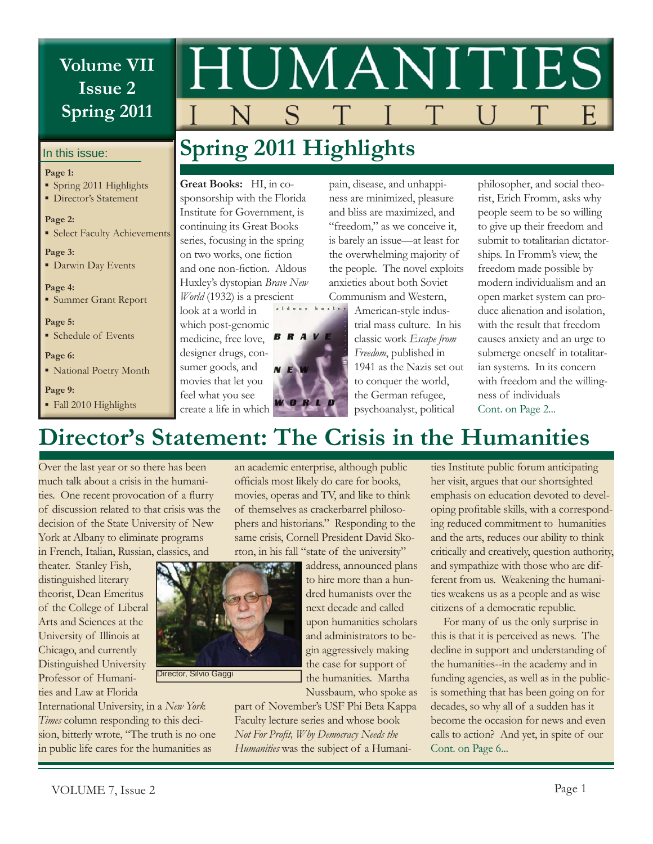# **Volume VII Issue 2 Spring 2011**

#### In this issue:

#### **Page 1:**

- Spring 2011 Highlights
- **·** Director's Statement

#### **Page 2:**

**Exercise Select Faculty Achievements** 

#### **Page 3:**

**• Darwin Day Events** 

#### **Page 4:**

▪ Summer Grant Report

**Page 5:**

▪ Schedule of Events

#### **Page 6:**

▪ National Poetry Month

**Page 9:** Fall 2010 Highlights



pain, disease, and unhappiness are minimized, pleasure and bliss are maximized, and "freedom," as we conceive it,

# **Spring 2011 Highlights**

**Great Books:** HI, in cosponsorship with the Florida Institute for Government, is continuing its Great Books series, focusing in the spring on two works, one fiction and one non-fiction. Aldous Huxley's dystopian *Brave New World* (1932) is a prescient

look at a world in which post-genomic medicine, free love, designer drugs, consumer goods, and movies that let you feel what you see create a life in which is barely an issue—at least for the overwhelming majority of the people. The novel exploits anxieties about both Soviet Communism and Western, American-style industrial mass culture. In his classic work *Escape from* 

*Freedom*, published in 1941 as the Nazis set out to conquer the world, the German refugee, psychoanalyst, political

philosopher, and social theorist, Erich Fromm, asks why people seem to be so willing to give up their freedom and submit to totalitarian dictatorships. In Fromm's view, the freedom made possible by modern individualism and an open market system can produce alienation and isolation, with the result that freedom causes anxiety and an urge to submerge oneself in totalitarian systems. In its concern with freedom and the willingness of individuals Cont. on Page 2...

# **Director's Statement: The Crisis in the Humanities**

 $\overline{A}$ R

Over the last year or so there has been much talk about a crisis in the humanities. One recent provocation of a flurry of discussion related to that crisis was the decision of the State University of New York at Albany to eliminate programs in French, Italian, Russian, classics, and

theater. Stanley Fish, distinguished literary theorist, Dean Emeritus of the College of Liberal Arts and Sciences at the University of Illinois at Chicago, and currently Distinguished University Professor of Humanities and Law at Florida

Director, Silvio Gaggi

International University, in a *New York Times* column responding to this decision, bitterly wrote, "The truth is no one in public life cares for the humanities as

an academic enterprise, although public officials most likely do care for books, movies, operas and TV, and like to think of themselves as crackerbarrel philosophers and historians." Responding to the same crisis, Cornell President David Skorton, in his fall "state of the university" address, announced plans

to hire more than a hundred humanists over the next decade and called upon humanities scholars and administrators to begin aggressively making the case for support of the humanities. Martha Nussbaum, who spoke as

part of November's USF Phi Beta Kappa Faculty lecture series and whose book Not For Profit, Why Democracy Needs the *Humanities* was the subject of a Humanities Institute public forum anticipating her visit, argues that our shortsighted emphasis on education devoted to developing profitable skills, with a corresponding reduced commitment to humanities and the arts, reduces our ability to think critically and creatively, question authority, and sympathize with those who are different from us. Weakening the humanities weakens us as a people and as wise citizens of a democratic republic.

For many of us the only surprise in this is that it is perceived as news. The decline in support and understanding of the humanities--in the academy and in funding agencies, as well as in the publicis something that has been going on for decades, so why all of a sudden has it become the occasion for news and even calls to action? And yet, in spite of our Cont. on Page 6...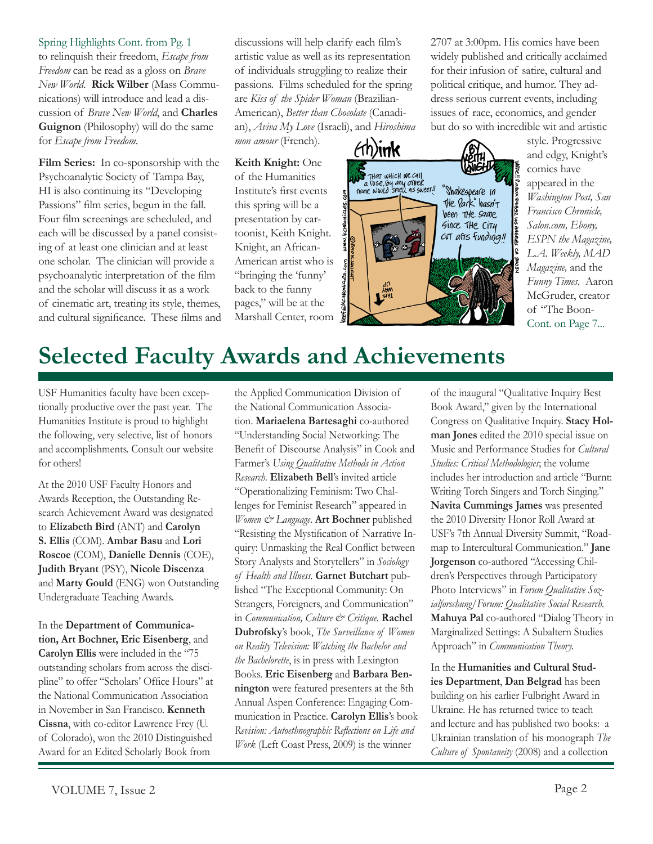Spring Highlights Cont. from Pg. 1 to relinquish their freedom, *Escape from Freedom* can be read as a gloss on *Brave New World*. **Rick Wilber** (Mass Communications) will introduce and lead a discussion of *Brave New World*, and **Charles Guignon** (Philosophy) will do the same for *Escape from Freedom*.

**Film Series:** In co-sponsorship with the Psychoanalytic Society of Tampa Bay, HI is also continuing its "Developing Passions" film series, begun in the fall. Four film screenings are scheduled, and each will be discussed by a panel consisting of at least one clinician and at least one scholar. The clinician will provide a psychoanalytic interpretation of the film and the scholar will discuss it as a work of cinematic art, treating its style, themes, and cultural significance. These films and discussions will help clarify each film's artistic value as well as its representation of individuals struggling to realize their passions. Films scheduled for the spring are *Kiss of the Spider Woman* (Brazilian-American), *Better than Chocolate* (Canadian), *Aviva My Love* (Israeli), and *Hiroshima mon amour* (French).

**Keith Knight:** One of the Humanities Institute's first events this spring will be a presentation by cartoonist, Keith Knight. Knight, an African-American artist who is "bringing the 'funny' back to the funny pages," will be at the Marshall Center, room  $\forall$ h)in $\bm{k}$ THAT WHICH WE CAIL<br>a rose, By any other<br>name would smell as sweet!! "Shakespeare in<br>The Park" hasn't been The same Since The City cvT alīs funding!!

for their infusion of satire, cultural and political critique, and humor. They address serious current events, including issues of race, economics, and gender but do so with incredible wit and artistic style. Progressive and edgy, Knight's comics have appeared in the *Washington Post, San Francisco Chronicle,* 

> *Salon.com, Ebony, ESPN the Magazine, L.A. Weekly, MAD Magazine,* and the *Funny Times*. Aaron McGruder, creator of "The Boon-Cont. on Page 7...

2707 at 3:00pm. His comics have been widely published and critically acclaimed

# **Selected Faculty Awards and Achievements**

USF Humanities faculty have been exceptionally productive over the past year. The Humanities Institute is proud to highlight the following, very selective, list of honors and accomplishments. Consult our website for others!

At the 2010 USF Faculty Honors and Awards Reception, the Outstanding Research Achievement Award was designated to **Elizabeth Bird** (ANT) and **Carolyn S. Ellis** (COM). **Ambar Basu** and **Lori Roscoe** (COM), **Danielle Dennis** (COE), **Judith Bryant** (PSY), **Nicole Discenza** and **Marty Gould** (ENG) won Outstanding Undergraduate Teaching Awards.

In the **Department of Communication, Art Bochner, Eric Eisenberg**, and **Carolyn Ellis** were included in the "75 outstanding scholars from across the discipline" to offer "Scholars' Office Hours" at the National Communication Association in November in San Francisco. **Kenneth Cissna**, with co-editor Lawrence Frey (U. of Colorado), won the 2010 Distinguished Award for an Edited Scholarly Book from

the Applied Communication Division of the National Communication Association. **Mariaelena Bartesaghi** co-authored "Understanding Social Networking: The Benefit of Discourse Analysis" in Cook and Farmer's *Using Qualitative Methods in Action Research.* **Elizabeth Bell**'s invited article "Operationalizing Feminism: Two Challenges for Feminist Research" appeared in *Women & Language*. **Art Bochner** published "Resisting the Mystification of Narrative Inquiry: Unmasking the Real Conflict between Story Analysts and Storytellers" in *Sociology of Health and Illness.* **Garnet Butchart** published "The Exceptional Community: On Strangers, Foreigners, and Communication" in *Communication, Culture & Critique.* **Rachel Dubrofsky**'s book, *The Surveillance of Women on Reality Television: Watching the Bachelor and the Bachelorette*, is in press with Lexington Books. **Eric Eisenberg** and **Barbara Bennington** were featured presenters at the 8th Annual Aspen Conference: Engaging Communication in Practice. **Carolyn Ellis**'s book Revision: Autoethnographic Reflections on Life and *Work* (Left Coast Press, 2009) is the winner

of the inaugural "Qualitative Inquiry Best Book Award," given by the International Congress on Qualitative Inquiry. **Stacy Holman Jones** edited the 2010 special issue on Music and Performance Studies for *Cultural Studies: Critical Methodologies*; the volume includes her introduction and article "Burnt: Writing Torch Singers and Torch Singing." **Navita Cummings James** was presented the 2010 Diversity Honor Roll Award at USF's 7th Annual Diversity Summit, "Roadmap to Intercultural Communication." **Jane Jorgenson** co-authored "Accessing Children's Perspectives through Participatory Photo Interviews" in *Forum Qualitative Sozialforschung/Forum: Qualitative Social Research.* **Mahuya Pal** co-authored "Dialog Theory in Marginalized Settings: A Subaltern Studies Approach" in *Communication Theory.*

In the **Humanities and Cultural Studies Department**, **Dan Belgrad** has been building on his earlier Fulbright Award in Ukraine. He has returned twice to teach and lecture and has published two books: a Ukrainian translation of his monograph *The Culture of Spontaneity* (2008) and a collection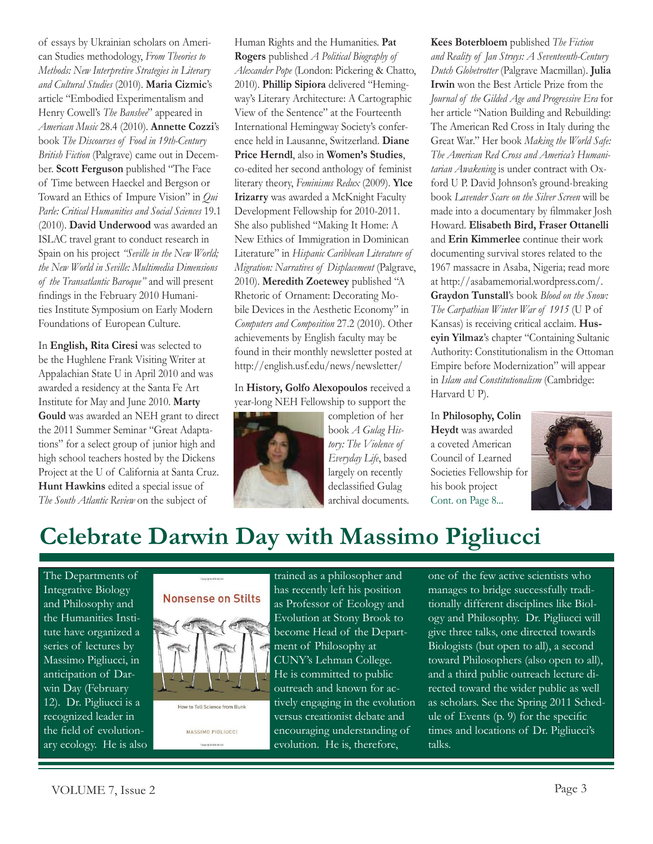of essays by Ukrainian scholars on American Studies methodology, *From Theories to Methods: New Interpretive Strategies in Literary and Cultural Studies* (2010). **Maria Cizmic**'s article "Embodied Experimentalism and Henry Cowell's *The Banshee*" appeared in *American Music* 28.4 (2010). **Annette Cozzi**'s book *The Discourses of Food in 19th-Century British Fiction* (Palgrave) came out in December. **Scott Ferguson** published "The Face of Time between Haeckel and Bergson or Toward an Ethics of Impure Vision" in *Qui Parle: Critical Humanities and Social Sciences* 19.1 (2010). **David Underwood** was awarded an ISLAC travel grant to conduct research in Spain on his project *"Seville in the New World; the New World in Seville: Multimedia Dimensions of the Transatlantic Baroque"* and will present findings in the February 2010 Humanities Institute Symposium on Early Modern Foundations of European Culture.

In **English, Rita Ciresi** was selected to be the Hughlene Frank Visiting Writer at Appalachian State U in April 2010 and was awarded a residency at the Santa Fe Art Institute for May and June 2010. **Marty Gould** was awarded an NEH grant to direct the 2011 Summer Seminar "Great Adaptations" for a select group of junior high and high school teachers hosted by the Dickens Project at the U of California at Santa Cruz. **Hunt Hawkins** edited a special issue of *The South Atlantic Review* on the subject of

Human Rights and the Humanities. **Pat Rogers** published *A Political Biography of Alexander Pope* (London: Pickering & Chatto, 2010). **Phillip Sipiora** delivered "Hemingway's Literary Architecture: A Cartographic View of the Sentence" at the Fourteenth International Hemingway Society's conference held in Lausanne, Switzerland. **Diane Price Herndl**, also in **Women's Studies**, co-edited her second anthology of feminist literary theory, *Feminisms Redux* (2009). **Ylce Irizarry** was awarded a McKnight Faculty Development Fellowship for 2010-2011. She also published "Making It Home: A New Ethics of Immigration in Dominican Literature" in *Hispanic Caribbean Literature of Migration: Narratives of Displacement* (Palgrave, 2010). **Meredith Zoetewey** published "A Rhetoric of Ornament: Decorating Mobile Devices in the Aesthetic Economy" in *Computers and Composition* 27.2 (2010). Other achievements by English faculty may be found in their monthly newsletter posted at http://english.usf.edu/news/newsletter/

In **History, Golfo Alexopoulos** received a year-long NEH Fellowship to support the



completion of her book *A Gulag History: The Violence of Everyday Life*, based largely on recently declassified Gulag archival documents. **Kees Boterbloem** published *The Fiction and Reality of Jan Struys: A Seventeenth-Century Dutch Globetrotter* (Palgrave Macmillan). **Julia Irwin** won the Best Article Prize from the *Journal of the Gilded Age and Progressive Era* for her article "Nation Building and Rebuilding: The American Red Cross in Italy during the Great War." Her book *Making the World Safe: The American Red Cross and America's Humanitarian Awakening* is under contract with Oxford U P. David Johnson's ground-breaking book *Lavender Scare on the Silver Screen* will be made into a documentary by filmmaker Josh Howard. **Elisabeth Bird, Fraser Ottanelli**  and **Erin Kimmerlee** continue their work documenting survival stores related to the 1967 massacre in Asaba, Nigeria; read more at http://asabamemorial.wordpress.com/. **Graydon Tunstall**'s book *Blood on the Snow: The Carpathian Winter War of 1915* (U P of Kansas) is receiving critical acclaim. **Huseyin Yilmaz**'s chapter "Containing Sultanic Authority: Constitutionalism in the Ottoman Empire before Modernization" will appear in *Islam and Constitutionalism* (Cambridge: Harvard U P).

In **Philosophy, Colin Heydt** was awarded a coveted American Council of Learned Societies Fellowship for his book project Cont. on Page 8...



# **Celebrate Darwin Day with Massimo Pigliucci**

The Departments of Integrative Biology and Philosophy and the Humanities Institute have organized a series of lectures by Massimo Pigliucci, in anticipation of Darwin Day (February 12). Dr. Pigliucci is a recognized leader in the field of evolutionary ecology. He is also



MASSIMO PIGLIUCCI Coma inhieri Material

trained as a philosopher and has recently left his position as Professor of Ecology and Evolution at Stony Brook to become Head of the Department of Philosophy at CUNY's Lehman College. He is committed to public outreach and known for actively engaging in the evolution versus creationist debate and encouraging understanding of evolution. He is, therefore,

one of the few active scientists who manages to bridge successfully traditionally different disciplines like Biology and Philosophy. Dr. Pigliucci will give three talks, one directed towards Biologists (but open to all), a second toward Philosophers (also open to all), and a third public outreach lecture directed toward the wider public as well as scholars. See the Spring 2011 Schedule of Events  $(p, 9)$  for the specific times and locations of Dr. Pigliucci's talks.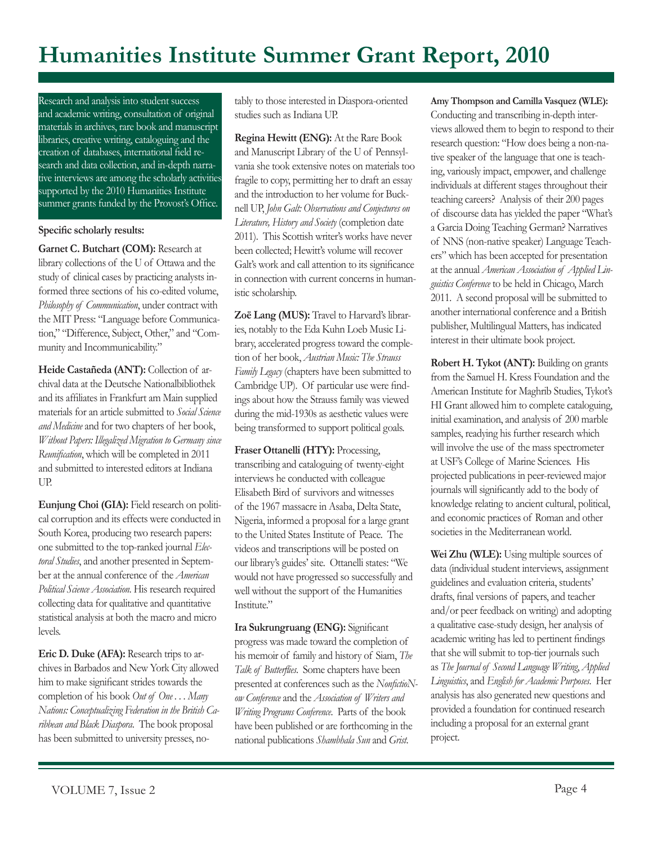# **Humanities Institute Summer Grant Report, 2010**

Research and analysis into student success and academic writing, consultation of original materials in archives, rare book and manuscript libraries, creative writing, cataloguing and the creation of databases, international field research and data collection, and in-depth narrative interviews are among the scholarly activities supported by the 2010 Humanities Institute summer grants funded by the Provost's Office.

#### Specific scholarly results:

**Garnet C. Butchart (COM):** Research at library collections of the U of Ottawa and the study of clinical cases by practicing analysts informed three sections of his co-edited volume, *Philosophy of Communication*, under contract with the MIT Press: "Language before Communication," "Difference, Subject, Other," and "Community and Incommunicability."

**Heide Castañeda (ANT):** Collection of archival data at the Deutsche Nationalbibliothek and its affiliates in Frankfurt am Main supplied materials for an article submitted to *Social Science and Medicine* and for two chapters of her book, *Without Papers: Illegalized Migration to Germany since*  Reunification, which will be completed in 2011 and submitted to interested editors at Indiana UP.

**Eunjung Choi (GIA):** Field research on political corruption and its effects were conducted in South Korea, producing two research papers: one submitted to the top-ranked journal *Electoral Studies*, and another presented in September at the annual conference of the *American Political Science Association*. His research required collecting data for qualitative and quantitative statistical analysis at both the macro and micro levels.

**Eric D. Duke (AFA):** Research trips to archives in Barbados and New York City allowed him to make significant strides towards the completion of his book *Out of One . . . Many Nations: Conceptualizing Federation in the British Caribbean and Black Diaspora*. The book proposal has been submitted to university presses, notably to those interested in Diaspora-oriented studies such as Indiana UP.

**Regina Hewitt (ENG):** At the Rare Book and Manuscript Library of the U of Pennsylvania she took extensive notes on materials too fragile to copy, permitting her to draft an essay and the introduction to her volume for Bucknell UP, *John Galt: Observations and Conjectures on Literature, History and Society* (completion date 2011). This Scottish writer's works have never been collected; Hewitt's volume will recover Galt's work and call attention to its significance in connection with current concerns in humanistic scholarship.

**Zoë Lang (MUS):** Travel to Harvard's libraries, notably to the Eda Kuhn Loeb Music Library, accelerated progress toward the completion of her book, *Austrian Music: The Strauss Family Legacy* (chapters have been submitted to Cambridge UP). Of particular use were findings about how the Strauss family was viewed during the mid-1930s as aesthetic values were being transformed to support political goals.

**Fraser Ottanelli (HTY):** Processing, transcribing and cataloguing of twenty-eight interviews he conducted with colleague Elisabeth Bird of survivors and witnesses of the 1967 massacre in Asaba, Delta State, Nigeria, informed a proposal for a large grant to the United States Institute of Peace. The videos and transcriptions will be posted on our library's guides' site. Ottanelli states: "We would not have progressed so successfully and well without the support of the Humanities Institute."

**Ira Sukrungruang (ENG):** Significant progress was made toward the completion of his memoir of family and history of Siam, *The*  Talk of Butterflies. Some chapters have been presented at conferences such as the *NonfictioNow Conference* and the *Association of Writers and Writing Programs Conference*. Parts of the book have been published or are forthcoming in the national publications *Shambhala Sun* and *Grist*.

**Amy Thompson and Camilla Vasquez (WLE):** Conducting and transcribing in-depth interviews allowed them to begin to respond to their research question: "How does being a non-native speaker of the language that one is teaching, variously impact, empower, and challenge individuals at different stages throughout their teaching careers? Analysis of their 200 pages of discourse data has yielded the paper "What's a Garcia Doing Teaching German? Narratives of NNS (non-native speaker) Language Teachers" which has been accepted for presentation at the annual *American Association of Applied Linguistics Conference* to be held in Chicago, March 2011. A second proposal will be submitted to another international conference and a British publisher, Multilingual Matters, has indicated interest in their ultimate book project.

**Robert H. Tykot (ANT):** Building on grants from the Samuel H. Kress Foundation and the American Institute for Maghrib Studies, Tykot's HI Grant allowed him to complete cataloguing, initial examination, and analysis of 200 marble samples, readying his further research which will involve the use of the mass spectrometer at USF's College of Marine Sciences. His projected publications in peer-reviewed major journals will significantly add to the body of knowledge relating to ancient cultural, political, and economic practices of Roman and other societies in the Mediterranean world.

**Wei Zhu (WLE):** Using multiple sources of data (individual student interviews, assignment guidelines and evaluation criteria, students' drafts, final versions of papers, and teacher and/or peer feedback on writing) and adopting a qualitative case-study design, her analysis of academic writing has led to pertinent findings that she will submit to top-tier journals such as *The Journal of Second Language Writing*, *Applied Linguistics*, and *English for Academic Purposes*. Her analysis has also generated new questions and provided a foundation for continued research including a proposal for an external grant project.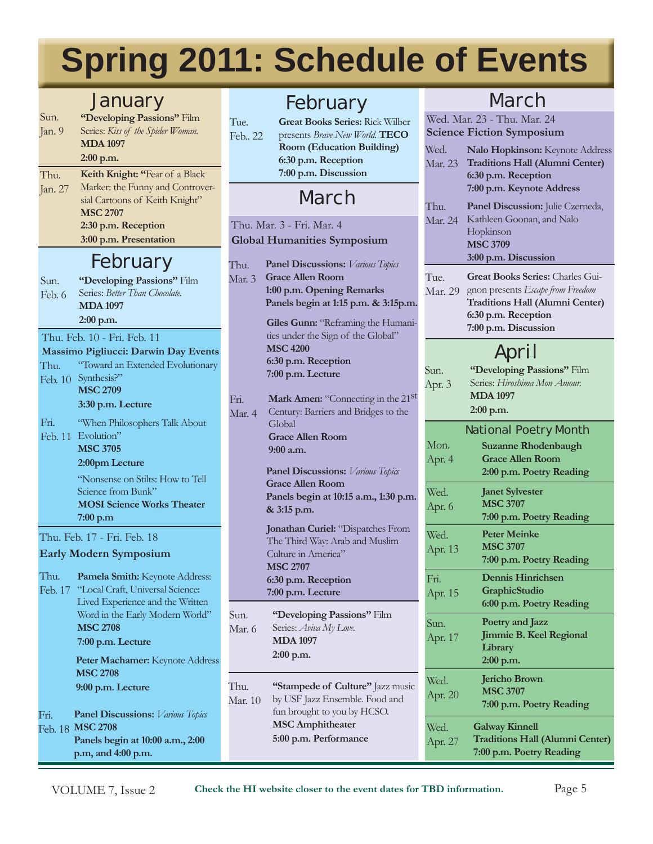# **Spring 2011: Schedule of Events**

## January

| Sun.     | "Developing Passions" Film        |
|----------|-----------------------------------|
| Jan. $9$ | Series: Kiss of the Spider Woman. |
|          | <b>MDA 1097</b>                   |
|          | $2:00$ p.m.                       |
| Thu.     | Keith Knight: "Fear of a Black    |
| Jan. 27  | Marker: the Funny and Controver-  |
|          | sial Cartoons of Keith Knight"    |
|          | <b>MSC 2707</b>                   |
|          | 2:30 p.m. Reception               |
|          | 3:00 p.m. Presentation            |

# February

Sun. Feb. 6 **"Developing Passions"** Film Series: *Better Than Chocolate.* **MDA 1097 2:00 p.m.**

#### Thu. Feb. 10 - Fri. Feb. 11

**Massimo Pigliucci: Darwin Day Events**

#### Thu. Feb. 10 Synthesis?" "Toward an Extended Evolutionary

**MSC 2709 3:30 p.m. Lecture**

| Fri. | "When Philosophers Talk About |
|------|-------------------------------|
|      | Feb. 11 Evolution"            |
|      | <b>MSC 3705</b>               |
|      | 2:00pm Lecture                |
|      |                               |

"Nonsense on Stilts: How to Tell Science from Bunk" **MOSI Science Works Theater 7:00 p.m** 

Thu. Feb. 17 - Fri. Feb. 18 **Early Modern Symposium**

Thu. Feb. 17 "Local Craft, Universal Science: **Pamela Smith:** Keynote Address: Lived Experience and the Written Word in the Early Modern World" **MSC 2708 7:00 p.m. Lecture Panel Discussions:** *Various Topics* **MSC 2708** Feb. 18 **Panels begin at 10:00 a.m., 2:00**  Fri. **Peter Machamer:** Keynote Address **MSC 2708 9:00 p.m. Lecture**

# February

Tue. Feb.. 22 **Great Books Series:** Rick Wilber presents *Brave New World.* **TECO Room (Education Building) 6:30 p.m. Reception 7:00 p.m. Discussion**

# March

#### Thu. Mar. 3 - Fri. Mar. 4 **Global Humanities Symposium**

1  $\overline{\Lambda}$ 

> Si  $\overline{\Lambda}$

| Thu.<br>Mar. 3 | <b>Panel Discussions:</b> Various Topics<br><b>Grace Allen Room</b><br>1:00 p.m. Opening Remarks<br>Panels begin at 1:15 p.m. & 3:15p.m.                  |
|----------------|-----------------------------------------------------------------------------------------------------------------------------------------------------------|
|                | Giles Gunn: "Reframing the Humani-<br>ties under the Sign of the Global"<br><b>MSC 4200</b><br>6:30 p.m. Reception<br>7:00 p.m. Lecture                   |
| Fri.<br>Mar. 4 | Mark Amen: "Connecting in the 21st<br>Century: Barriers and Bridges to the<br>Global<br><b>Grace Allen Room</b><br>9:00 a.m.                              |
|                | <b>Panel Discussions:</b> Various Topics<br><b>Grace Allen Room</b><br>Panels begin at 10:15 a.m., 1:30 p.m.<br>& 3:15 p.m.                               |
|                | Jonathan Curiel: "Dispatches From<br>The Third Way: Arab and Muslim<br>Culture in America"<br><b>MSC 2707</b><br>6:30 p.m. Reception<br>7:00 p.m. Lecture |
| Sun.<br>Mar. 6 | "Developing Passions" Film<br>Series: Aviva My Love.<br><b>MDA 1097</b><br>$2:00$ p.m.                                                                    |

**"Stampede of Culture"** Jazz music by USF Jazz Ensemble. Food and fun brought to you by HCSO. **MSC Amphitheater 5:00 p.m. Performance** Thu. Mar. 10

## March

|                 | Wed. Mar. 23 - Thu. Mar. 24<br><b>Science Fiction Symposium</b> |  |
|-----------------|-----------------------------------------------------------------|--|
| Wed.            | Nalo Hopkinson: Keynote Address                                 |  |
| Mar. 23         | <b>Traditions Hall (Alumni Center)</b>                          |  |
|                 | 6:30 p.m. Reception                                             |  |
|                 | 7:00 p.m. Keynote Address                                       |  |
| Thu.<br>Mar. 24 | Panel Discussion: Julie Czerneda,<br>Kathleen Goonan, and Nalo  |  |
|                 | Hopkinson                                                       |  |
|                 | <b>MSC 3709</b><br>3:00 p.m. Discussion                         |  |
| Tue.            | <b>Great Books Series: Charles Gui-</b>                         |  |
| Mar. 29         | gnon presents Escape from Freedom                               |  |
|                 | <b>Traditions Hall (Alumni Center)</b>                          |  |
|                 | 6:30 p.m. Reception<br>7:00 p.m. Discussion                     |  |
| April           |                                                                 |  |
| Sun.            | "Developing Passions" Film                                      |  |
| Apr. 3          | Series: Hiroshima Mon Amour.                                    |  |
|                 | <b>MDA 1097</b>                                                 |  |
|                 | 2:00 p.m.                                                       |  |
| Mon.            | <b>National Poetry Month</b>                                    |  |
| Apr. 4          | <b>Suzanne Rhodenbaugh</b><br><b>Grace Allen Room</b>           |  |
|                 | 2:00 p.m. Poetry Reading                                        |  |
| Wed.            | <b>Janet Sylvester</b>                                          |  |
| Apr. 6          | <b>MSC 3707</b><br>7:00 p.m. Poetry Reading                     |  |
| Wed.            | <b>Peter Meinke</b>                                             |  |
| Apr. 13         | <b>MSC 3707</b>                                                 |  |
|                 | 7:00 p.m. Poetry Reading                                        |  |
| Fri.            | <b>Dennis Hinrichsen</b><br>GraphicStudio                       |  |
| Apr. 15         | 6:00 p.m. Poetry Reading                                        |  |
| Sun.            | Poetry and Jazz                                                 |  |
| Apr. 17         | Jimmie B. Keel Regional                                         |  |
|                 | Library<br>2:00 p.m.                                            |  |
| Wed.            | <b>Jericho Brown</b>                                            |  |
| Apr. 20         | <b>MSC 3707</b>                                                 |  |
|                 | 7:00 p.m. Poetry Reading                                        |  |
| Wed.            | Galway Kinnell                                                  |  |
| Apr. 27         | <b>Traditions Hall (Alumni Center)</b>                          |  |

**p.m, and 4:00 p.m.**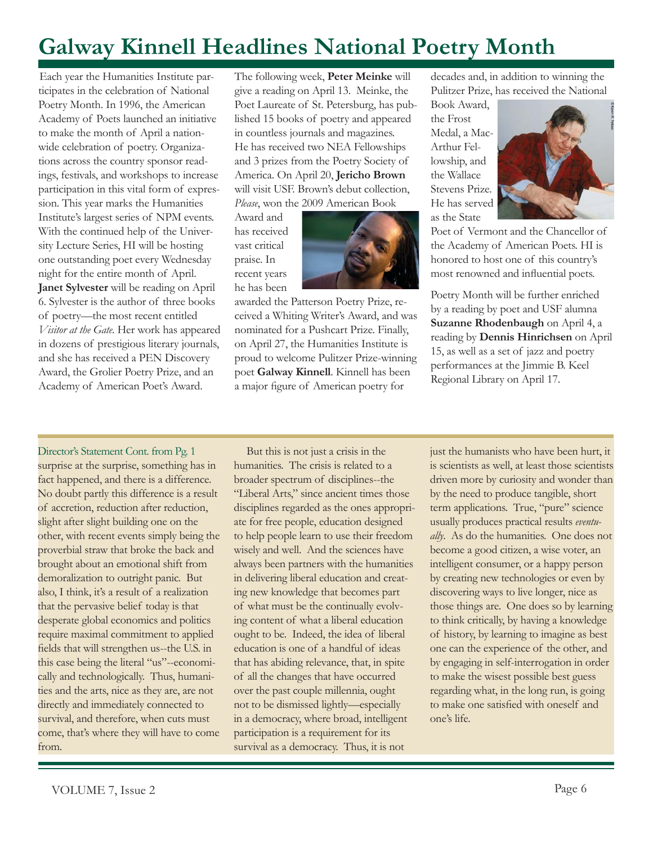# **Galway Kinnell Headlines National Poetry Month**

Each year the Humanities Institute participates in the celebration of National Poetry Month. In 1996, the American Academy of Poets launched an initiative to make the month of April a nationwide celebration of poetry. Organizations across the country sponsor readings, festivals, and workshops to increase participation in this vital form of expression. This year marks the Humanities Institute's largest series of NPM events. With the continued help of the University Lecture Series, HI will be hosting one outstanding poet every Wednesday night for the entire month of April. **Janet Sylvester** will be reading on April 6. Sylvester is the author of three books of poetry—the most recent entitled *Visitor at the Gate*. Her work has appeared in dozens of prestigious literary journals, and she has received a PEN Discovery Award, the Grolier Poetry Prize, and an Academy of American Poet's Award.

The following week, **Peter Meinke** will give a reading on April 13. Meinke, the Poet Laureate of St. Petersburg, has published 15 books of poetry and appeared in countless journals and magazines. He has received two NEA Fellowships and 3 prizes from the Poetry Society of America. On April 20, **Jericho Brown** will visit USF. Brown's debut collection, *Please*, won the 2009 American Book

Award and has received vast critical praise. In recent years he has been



awarded the Patterson Poetry Prize, received a Whiting Writer's Award, and was nominated for a Pushcart Prize. Finally, on April 27, the Humanities Institute is proud to welcome Pulitzer Prize-winning poet **Galway Kinnell**. Kinnell has been a major figure of American poetry for

decades and, in addition to winning the Pulitzer Prize, has received the National

Book Award, the Frost Medal, a Mac-Arthur Fellowship, and the Wallace Stevens Prize. He has served as the State



Poet of Vermont and the Chancellor of the Academy of American Poets. HI is honored to host one of this country's most renowned and influential poets.

Poetry Month will be further enriched by a reading by poet and USF alumna **Suzanne Rhodenbaugh** on April 4, a reading by **Dennis Hinrichsen** on April 15, as well as a set of jazz and poetry performances at the Jimmie B. Keel Regional Library on April 17.

Director's Statement Cont. from Pg. 1 surprise at the surprise, something has in fact happened, and there is a difference. No doubt partly this difference is a result of accretion, reduction after reduction, slight after slight building one on the other, with recent events simply being the proverbial straw that broke the back and brought about an emotional shift from demoralization to outright panic. But also, I think, it's a result of a realization that the pervasive belief today is that desperate global economics and politics require maximal commitment to applied fields that will strengthen us--the U.S. in this case being the literal "us"--economically and technologically. Thus, humanities and the arts, nice as they are, are not directly and immediately connected to survival, and therefore, when cuts must come, that's where they will have to come from.

But this is not just a crisis in the humanities. The crisis is related to a broader spectrum of disciplines--the "Liberal Arts," since ancient times those disciplines regarded as the ones appropriate for free people, education designed to help people learn to use their freedom wisely and well. And the sciences have always been partners with the humanities in delivering liberal education and creating new knowledge that becomes part of what must be the continually evolving content of what a liberal education ought to be. Indeed, the idea of liberal education is one of a handful of ideas that has abiding relevance, that, in spite of all the changes that have occurred over the past couple millennia, ought not to be dismissed lightly—especially in a democracy, where broad, intelligent participation is a requirement for its survival as a democracy. Thus, it is not

just the humanists who have been hurt, it is scientists as well, at least those scientists driven more by curiosity and wonder than by the need to produce tangible, short term applications. True, "pure" science usually produces practical results *eventually*. As do the humanities. One does not become a good citizen, a wise voter, an intelligent consumer, or a happy person by creating new technologies or even by discovering ways to live longer, nice as those things are. One does so by learning to think critically, by having a knowledge of history, by learning to imagine as best one can the experience of the other, and by engaging in self-interrogation in order to make the wisest possible best guess regarding what, in the long run, is going to make one satisfied with oneself and one's life.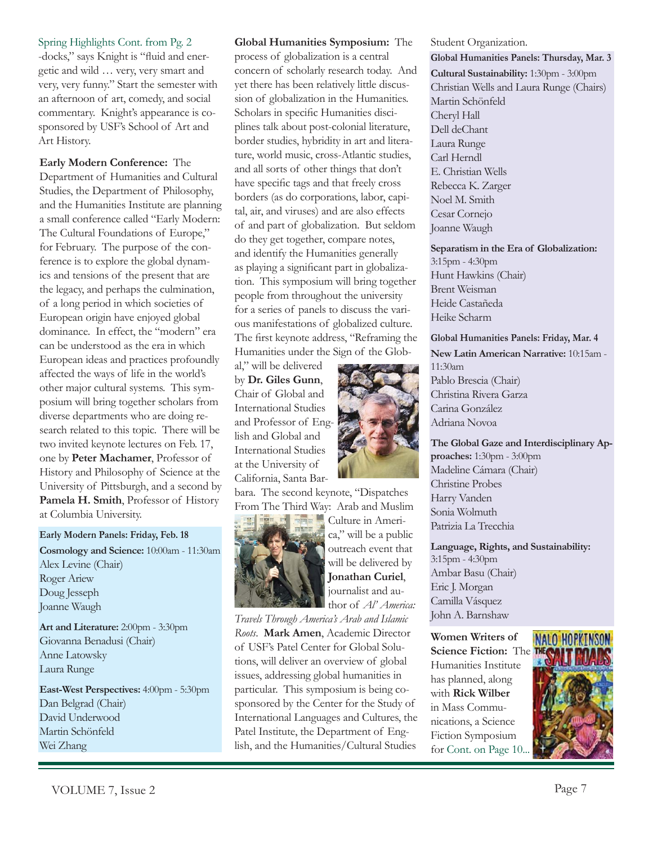Spring Highlights Cont. from Pg. 2 -docks," says Knight is "fluid and energetic and wild … very, very smart and very, very funny." Start the semester with an afternoon of art, comedy, and social commentary. Knight's appearance is cosponsored by USF's School of Art and Art History.

**Early Modern Conference:** The Department of Humanities and Cultural Studies, the Department of Philosophy, and the Humanities Institute are planning a small conference called "Early Modern: The Cultural Foundations of Europe," for February. The purpose of the conference is to explore the global dynamics and tensions of the present that are the legacy, and perhaps the culmination, of a long period in which societies of European origin have enjoyed global dominance. In effect, the "modern" era can be understood as the era in which European ideas and practices profoundly affected the ways of life in the world's other major cultural systems. This symposium will bring together scholars from diverse departments who are doing research related to this topic. There will be two invited keynote lectures on Feb. 17, one by **Peter Machamer**, Professor of History and Philosophy of Science at the University of Pittsburgh, and a second by **Pamela H. Smith**, Professor of History at Columbia University.

**Early Modern Panels: Friday, Feb. 18 Cosmology and Science:** 10:00am - 11:30am Alex Levine (Chair) Roger Ariew Doug Jesseph Joanne Waugh

**Art and Literature:** 2:00pm - 3:30pm Giovanna Benadusi (Chair) Anne Latowsky Laura Runge

**East-West Perspectives:** 4:00pm - 5:30pm Dan Belgrad (Chair) David Underwood Martin Schönfeld Wei Zhang

**Global Humanities Symposium:** The process of globalization is a central concern of scholarly research today. And yet there has been relatively little discussion of globalization in the Humanities. Scholars in specific Humanities disciplines talk about post-colonial literature, border studies, hybridity in art and literature, world music, cross-Atlantic studies, and all sorts of other things that don't have specific tags and that freely cross borders (as do corporations, labor, capital, air, and viruses) and are also effects of and part of globalization. But seldom do they get together, compare notes, and identify the Humanities generally as playing a significant part in globalization. This symposium will bring together people from throughout the university for a series of panels to discuss the various manifestations of globalized culture. The first keynote address, "Reframing the Humanities under the Sign of the Glob-

al," will be delivered by **Dr. Giles Gunn**, Chair of Global and International Studies and Professor of English and Global and International Studies at the University of California, Santa Bar-



bara. The second keynote, "Dispatches From The Third Way: Arab and Muslim



Culture in America," will be a public outreach event that will be delivered by **Jonathan Curiel**, journalist and author of *Al' America:* 

*Travels Through America's Arab and Islamic Roots*. **Mark Amen**, Academic Director of USF's Patel Center for Global Solutions, will deliver an overview of global issues, addressing global humanities in particular. This symposium is being cosponsored by the Center for the Study of International Languages and Cultures, the Patel Institute, the Department of English, and the Humanities/Cultural Studies

Student Organization. **Global Humanities Panels: Thursday, Mar. 3 Cultural Sustainability:** 1:30pm - 3:00pm Christian Wells and Laura Runge (Chairs) Martin Schönfeld Cheryl Hall Dell deChant Laura Runge Carl Herndl E. Christian Wells Rebecca K. Zarger Noel M. Smith Cesar Cornejo Joanne Waugh

**Separatism in the Era of Globalization:**  3:15pm - 4:30pm Hunt Hawkins (Chair) Brent Weisman Heide Castañeda Heike Scharm

**Global Humanities Panels: Friday, Mar. 4**

**New Latin American Narrative:** 10:15am - 11:30am Pablo Brescia (Chair) Christina Rivera Garza Carina González Adriana Novoa

**The Global Gaze and Interdisciplinary Approaches:** 1:30pm - 3:00pm Madeline Cámara (Chair) Christine Probes Harry Vanden Sonia Wolmuth Patrizia La Trecchia

**Language, Rights, and Sustainability:** 3:15pm - 4:30pm Ambar Basu (Chair) Eric J. Morgan Camilla Vásquez John A. Barnshaw

**Women Writers of Science Fiction:** The Humanities Institute has planned, along with **Rick Wilber** in Mass Communications, a Science Fiction Symposium for Cont. on Page 10.

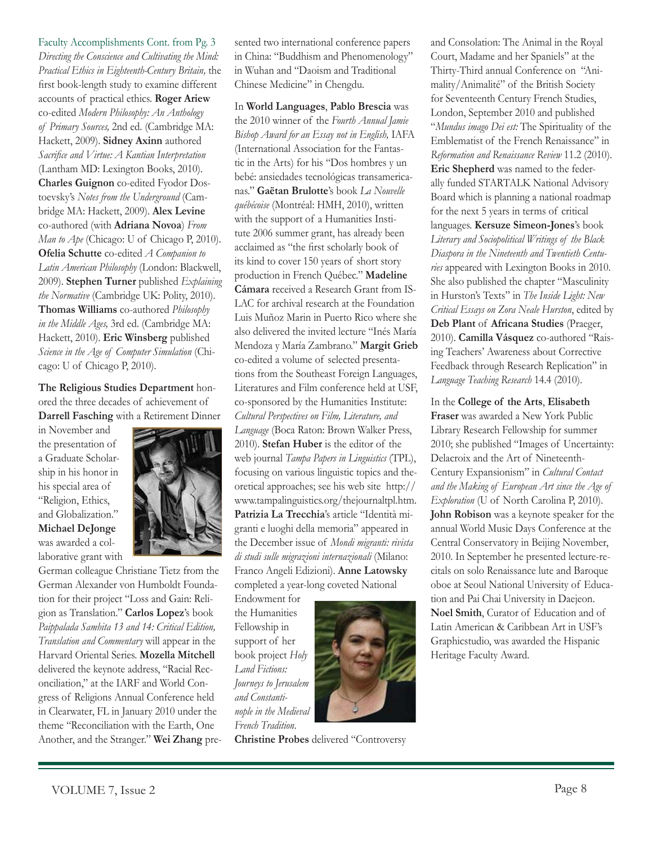Faculty Accomplishments Cont. from Pg. 3 *Directing the Conscience and Cultivating the Mind: Practical Ethics in Eighteenth-Century Britain,* the first book-length study to examine different accounts of practical ethics. **Roger Ariew**  co-edited *Modern Philosophy: An Anthology of Primary Sources,* 2nd ed. (Cambridge MA: Hackett, 2009). **Sidney Axinn** authored *Sacrifice and Virtue: A Kantian Interpretation* (Lantham MD: Lexington Books, 2010). **Charles Guignon** co-edited Fyodor Dostoevsky's *Notes from the Underground* (Cambridge MA: Hackett, 2009). **Alex Levine**  co-authored (with **Adriana Novoa**) *From Man to Ape* (Chicago: U of Chicago P, 2010). **Ofelia Schutte** co-edited *A Companion to Latin American Philosophy* (London: Blackwell, 2009). **Stephen Turner** published *Explaining the Normative* (Cambridge UK: Polity, 2010). **Thomas Williams** co-authored *Philosophy in the Middle Ages,* 3rd ed. (Cambridge MA: Hackett, 2010). **Eric Winsberg** published *Science in the Age of Computer Simulation* (Chicago: U of Chicago P, 2010).

**The Religious Studies Department** honored the three decades of achievement of **Darrell Fasching** with a Retirement Dinner

in November and the presentation of a Graduate Scholarship in his honor in his special area of "Religion, Ethics, and Globalization." **Michael DeJonge**  was awarded a collaborative grant with



German colleague Christiane Tietz from the German Alexander von Humboldt Foundation for their project "Loss and Gain: Religion as Translation." **Carlos Lopez**'s book *Paippalada Samhita 13 and 14: Critical Edition, Translation and Commentary* will appear in the Harvard Oriental Series. **Mozella Mitchell**  delivered the keynote address, "Racial Reconciliation," at the IARF and World Congress of Religions Annual Conference held in Clearwater, FL in January 2010 under the theme "Reconciliation with the Earth, One Another, and the Stranger." **Wei Zhang** presented two international conference papers in China: "Buddhism and Phenomenology" in Wuhan and "Daoism and Traditional Chinese Medicine" in Chengdu.

In **World Languages**, **Pablo Brescia** was the 2010 winner of the *Fourth Annual Jamie Bishop Award for an Essay not in English,* IAFA (International Association for the Fantastic in the Arts) for his "Dos hombres y un bebé: ansiedades tecnológicas transamericanas." **Gaëtan Brulotte**'s book *La Nouvelle québécoise* (Montréal: HMH, 2010), written with the support of a Humanities Institute 2006 summer grant, has already been acclaimed as "the first scholarly book of its kind to cover 150 years of short story production in French Québec." **Madeline Cámara** received a Research Grant from IS-LAC for archival research at the Foundation Luis Muñoz Marin in Puerto Rico where she also delivered the invited lecture "Inés María Mendoza y María Zambrano." **Margit Grieb**  co-edited a volume of selected presentations from the Southeast Foreign Languages, Literatures and Film conference held at USF, co-sponsored by the Humanities Institute: *Cultural Perspectives on Film, Literature, and Language* (Boca Raton: Brown Walker Press, 2010). **Stefan Huber** is the editor of the web journal *Tampa Papers in Linguistics* (TPL), focusing on various linguistic topics and theoretical approaches; see his web site http:// www.tampalinguistics.org/thejournaltpl.htm. **Patrizia La Trecchia**'s article "Identità migranti e luoghi della memoria" appeared in the December issue of *Mondi migranti: rivista di studi sulle migrazioni internazionali* (Milano: Franco Angeli Edizioni). **Anne Latowsky** completed a year-long coveted National

Endowment for the Humanities Fellowship in support of her book project *Holy Land Fictions: Journeys to Jerusalem and Constantinople in the Medieval French Tradition*.



**Christine Probes** delivered "Controversy

and Consolation: The Animal in the Royal Court, Madame and her Spaniels" at the Thirty-Third annual Conference on "Animality/Animalité" of the British Society for Seventeenth Century French Studies, London, September 2010 and published "*Mundus imago Dei est:* The Spirituality of the Emblematist of the French Renaissance" in *Reformation and Renaissance Review* 11.2 (2010). **Eric Shepherd** was named to the federally funded STARTALK National Advisory Board which is planning a national roadmap for the next 5 years in terms of critical languages. **Kersuze Simeon-Jones**'s book *Literary and Sociopolitical Writings of the Black Diaspora in the Nineteenth and Twentieth Centuries* appeared with Lexington Books in 2010. She also published the chapter "Masculinity in Hurston's Texts" in *The Inside Light: New Critical Essays on Zora Neale Hurston*, edited by **Deb Plant** of **Africana Studies** (Praeger, 2010). **Camilla Vásquez** co-authored "Raising Teachers' Awareness about Corrective Feedback through Research Replication" in *Language Teaching Research* 14.4 (2010).

In the **College of the Arts**, **Elisabeth Fraser** was awarded a New York Public Library Research Fellowship for summer 2010; she published "Images of Uncertainty: Delacroix and the Art of Nineteenth-Century Expansionism" in *Cultural Contact and the Making of European Art since the Age of Exploration* (U of North Carolina P, 2010). **John Robison** was a keynote speaker for the annual World Music Days Conference at the Central Conservatory in Beijing November, 2010. In September he presented lecture-recitals on solo Renaissance lute and Baroque oboe at Seoul National University of Education and Pai Chai University in Daejeon. **Noel Smith**, Curator of Education and of Latin American & Caribbean Art in USF's Graphicstudio, was awarded the Hispanic Heritage Faculty Award.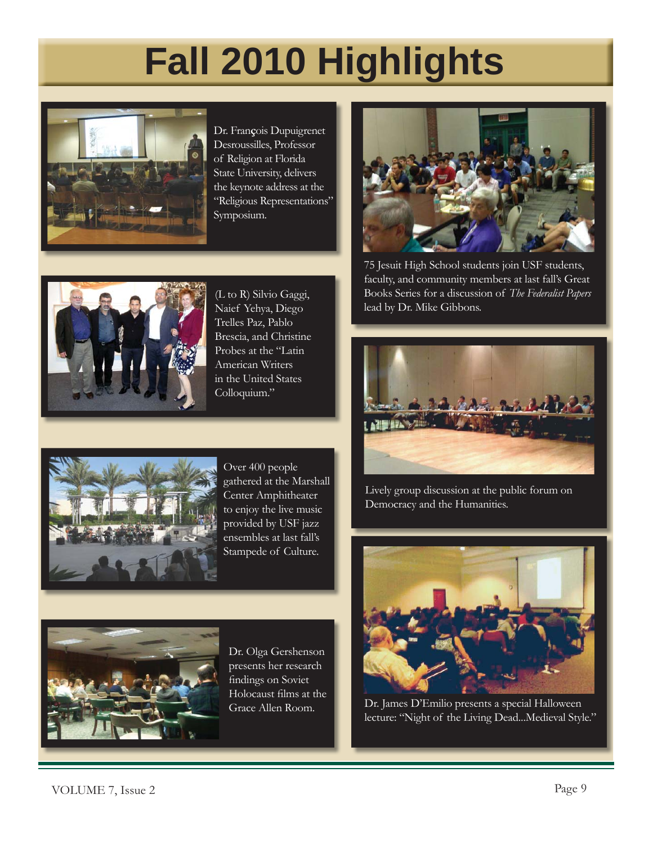# **Fall 2010 Highlights**



Dr. Fran**ç**ois Dupuigrenet Desroussilles, Professor of Religion at Florida State University, delivers the keynote address at the "Religious Representations" Symposium.



(L to R) Silvio Gaggi, Naief Yehya, Diego Trelles Paz, Pablo Brescia, and Christine Probes at the "Latin American Writers in the United States Colloquium."



75 Jesuit High School students join USF students, faculty, and community members at last fall's Great Books Series for a discussion of *The Federalist Papers* lead by Dr. Mike Gibbons.





Over 400 people gathered at the Marshall Center Amphitheater to enjoy the live music provided by USF jazz ensembles at last fall's Stampede of Culture.



Dr. Olga Gershenson presents her research findings on Soviet Holocaust films at the

Lively group discussion at the public forum on Democracy and the Humanities.



Grace Allen Room. Dr. James D'Emilio presents a special Halloween lecture: "Night of the Living Dead...Medieval Style."

VOLUME 7, Issue 2 Page 9